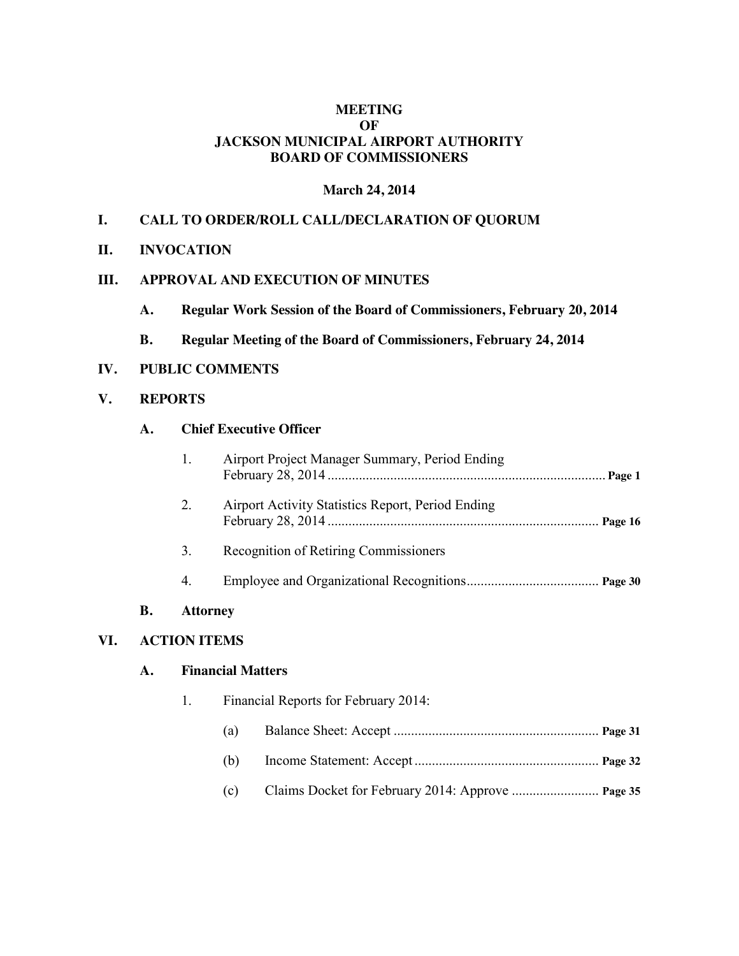## **MEETING OF JACKSON MUNICIPAL AIRPORT AUTHORITY BOARD OF COMMISSIONERS**

#### **March 24, 2014**

## **I. CALL TO ORDER/ROLL CALL/DECLARATION OF QUORUM**

**II. INVOCATION**

## **III. APPROVAL AND EXECUTION OF MINUTES**

- **A. Regular Work Session of the Board of Commissioners, February 20, 2014**
- **B. Regular Meeting of the Board of Commissioners, February 24, 2014**

#### **IV. PUBLIC COMMENTS**

#### **V. REPORTS**

#### **A. Chief Executive Officer**

| В. | Attorney |                                                          |  |
|----|----------|----------------------------------------------------------|--|
|    | 4.       |                                                          |  |
|    | 3.       | Recognition of Retiring Commissioners                    |  |
|    | 2.       | Airport Activity Statistics Report, Period Ending        |  |
|    |          | Airport Project Manager Summary, Period Ending<br>Page 1 |  |

# **VI. ACTION ITEMS**

#### **A. Financial Matters**

| 1. | Financial Reports for February 2014: |  |  |  |
|----|--------------------------------------|--|--|--|
|    | (a)                                  |  |  |  |
|    | (b)                                  |  |  |  |
|    | (c)                                  |  |  |  |
|    |                                      |  |  |  |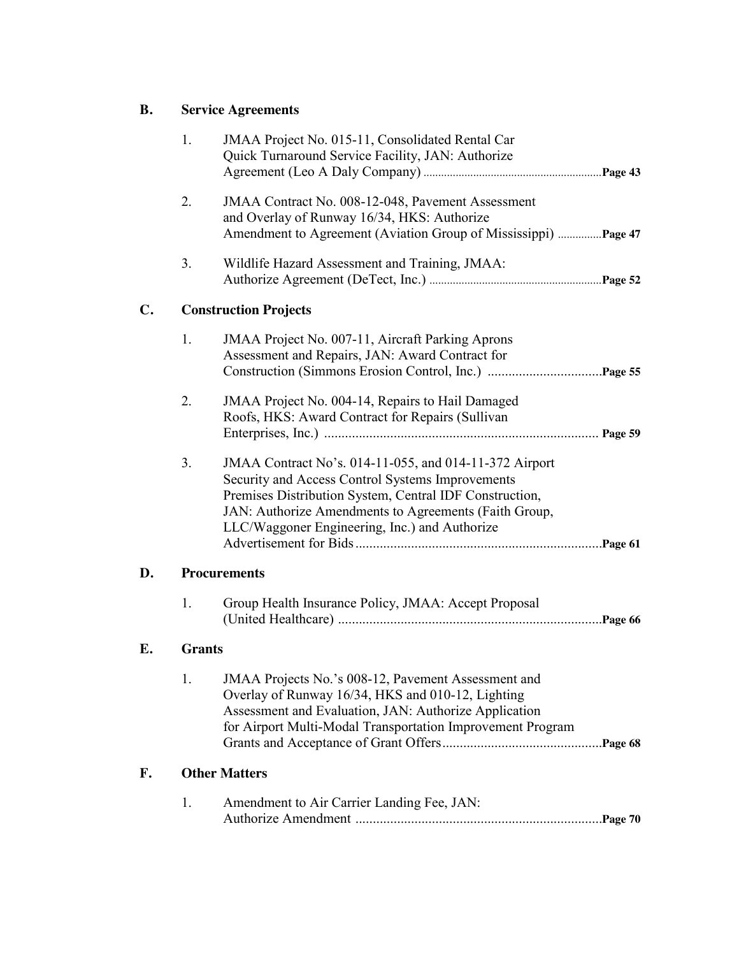# **B. Service Agreements**

|    | 1.                           | JMAA Project No. 015-11, Consolidated Rental Car<br>Quick Turnaround Service Facility, JAN: Authorize                                                                                                                                                                           |  |  |  |
|----|------------------------------|---------------------------------------------------------------------------------------------------------------------------------------------------------------------------------------------------------------------------------------------------------------------------------|--|--|--|
|    | 2.                           | JMAA Contract No. 008-12-048, Pavement Assessment<br>and Overlay of Runway 16/34, HKS: Authorize<br>Amendment to Agreement (Aviation Group of Mississippi) Page 47                                                                                                              |  |  |  |
|    | 3.                           | Wildlife Hazard Assessment and Training, JMAA:                                                                                                                                                                                                                                  |  |  |  |
| C. | <b>Construction Projects</b> |                                                                                                                                                                                                                                                                                 |  |  |  |
|    | 1.                           | JMAA Project No. 007-11, Aircraft Parking Aprons<br>Assessment and Repairs, JAN: Award Contract for                                                                                                                                                                             |  |  |  |
|    | 2.                           | JMAA Project No. 004-14, Repairs to Hail Damaged<br>Roofs, HKS: Award Contract for Repairs (Sullivan                                                                                                                                                                            |  |  |  |
|    | 3.                           | JMAA Contract No's. 014-11-055, and 014-11-372 Airport<br>Security and Access Control Systems Improvements<br>Premises Distribution System, Central IDF Construction,<br>JAN: Authorize Amendments to Agreements (Faith Group,<br>LLC/Waggoner Engineering, Inc.) and Authorize |  |  |  |
| D. |                              | <b>Procurements</b>                                                                                                                                                                                                                                                             |  |  |  |
|    | 1.                           | Group Health Insurance Policy, JMAA: Accept Proposal                                                                                                                                                                                                                            |  |  |  |
| Е. | <b>Grants</b>                |                                                                                                                                                                                                                                                                                 |  |  |  |
|    | 1.                           | JMAA Projects No.'s 008-12, Pavement Assessment and<br>Overlay of Runway 16/34, HKS and 010-12, Lighting<br>Assessment and Evaluation, JAN: Authorize Application<br>for Airport Multi-Modal Transportation Improvement Program                                                 |  |  |  |
| F. | <b>Other Matters</b>         |                                                                                                                                                                                                                                                                                 |  |  |  |
|    | 1.                           | Amendment to Air Carrier Landing Fee, JAN:                                                                                                                                                                                                                                      |  |  |  |